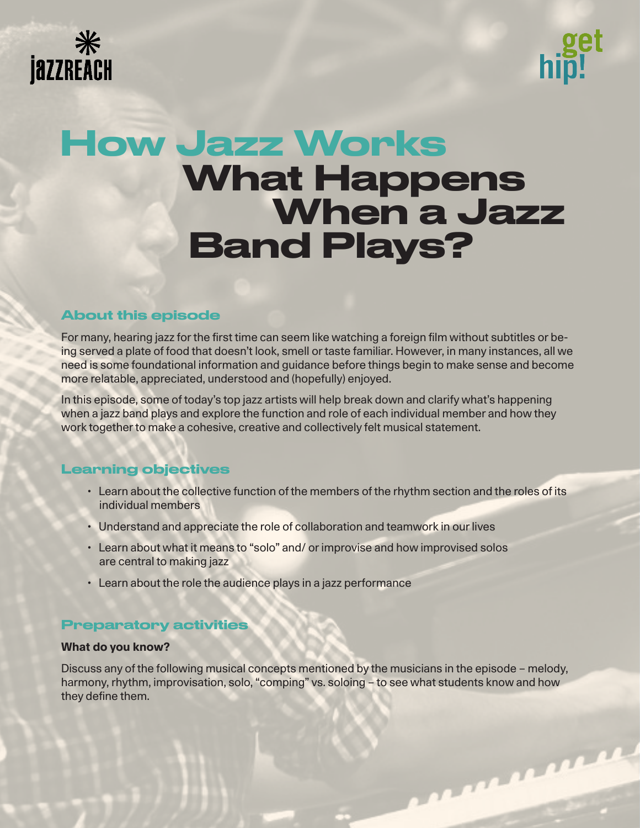



# When a Jazz Band Plays? How Jazz Works What Happens

# About this episode

For many, hearing jazz for the first time can seem like watching a foreign film without subtitles or being served a plate of food that doesn't look, smell or taste familiar. However, in many instances, all we need is some foundational information and guidance before things begin to make sense and become more relatable, appreciated, understood and (hopefully) enjoyed.

In this episode, some of today's top jazz artists will help break down and clarify what's happening when a jazz band plays and explore the function and role of each individual member and how they work together to make a cohesive, creative and collectively felt musical statement.

# Learning objectives

- Learn about the collective function of the members of the rhythm section and the roles of its individual members
- Understand and appreciate the role of collaboration and teamwork in our lives
- Learn about what it means to "solo" and/ or improvise and how improvised solos are central to making jazz
- Learn about the role the audience plays in a jazz performance

# Preparatory activities

## **What do you know?**

Discuss any of the following musical concepts mentioned by the musicians in the episode – melody, harmony, rhythm, improvisation, solo, "comping" vs. soloing - to see what students know and how they define them.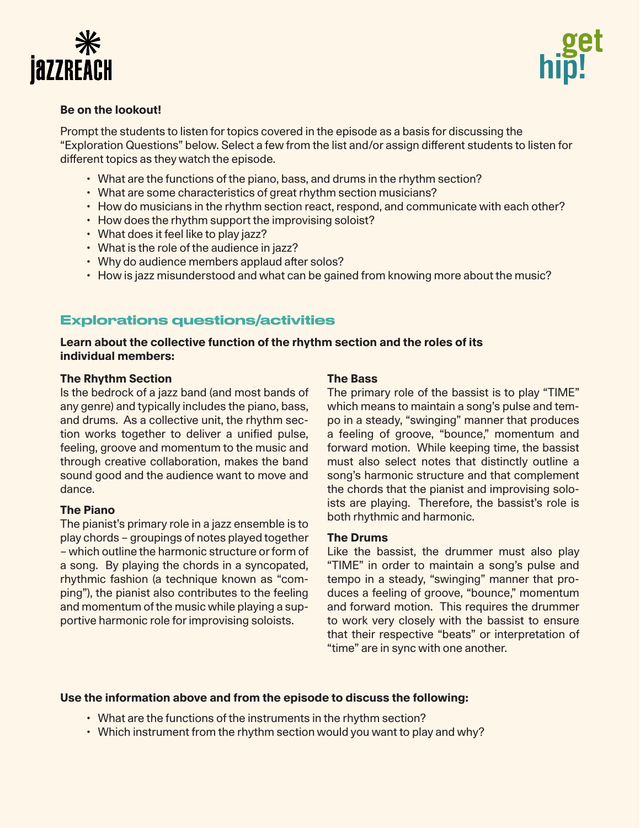



## **Be on the lookout!**

Prompt the students to listen for topics covered in the episode as a basis for discussing the "Exploration Questions" below. Select a few from the list and/or assign different students to listen for different topics as they watch the episode.

- What are the functions of the piano, bass, and drums in the rhythm section?
- What are some characteristics of great rhythm section musicians?
- How do musicians in the rhythm section react, respond, and communicate with each other?
- How does the rhythm support the improvising soloist?
- What does it feel like to play jazz?
- What is the role of the audience in jazz?
- Why do audience members applaud after solos?
- How is jazz misunderstood and what can be gained from knowing more about the music?

# Explorations questions/activities

## **Learn about the collective function of the rhythm section and the roles of its individual members:**

#### **The Rhythm Section**

Is the bedrock of a jazz band (and most bands of any genre) and typically includes the piano, bass, and drums. As a collective unit, the rhythm section works together to deliver a unified pulse, feeling, groove and momentum to the music and through creative collaboration, makes the band sound good and the audience want to move and dance.

#### **The Piano**

The pianist's primary role in a jazz ensemble is to play chords – groupings of notes played together – which outline the harmonic structure or form of a song. By playing the chords in a syncopated, rhythmic fashion (a technique known as "comping"), the pianist also contributes to the feeling and momentum of the music while playing a supportive harmonic role for improvising soloists.

### **The Bass**

The primary role of the bassist is to play "TIME" which means to maintain a song's pulse and tempo in a steady, "swinging" manner that produces a feeling of groove, "bounce," momentum and forward motion. While keeping time, the bassist must also select notes that distinctly outline a song's harmonic structure and that complement the chords that the pianist and improvising soloists are playing. Therefore, the bassist's role is both rhythmic and harmonic.

#### **The Drums**

Like the bassist, the drummer must also play "TIME" in order to maintain a song's pulse and tempo in a steady, "swinging" manner that produces a feeling of groove, "bounce," momentum and forward motion. This requires the drummer to work very closely with the bassist to ensure that their respective "beats" or interpretation of "time" are in sync with one another.

#### **Use the information above and from the episode to discuss the following:**

- What are the functions of the instruments in the rhythm section?
- Which instrument from the rhythm section would you want to play and why?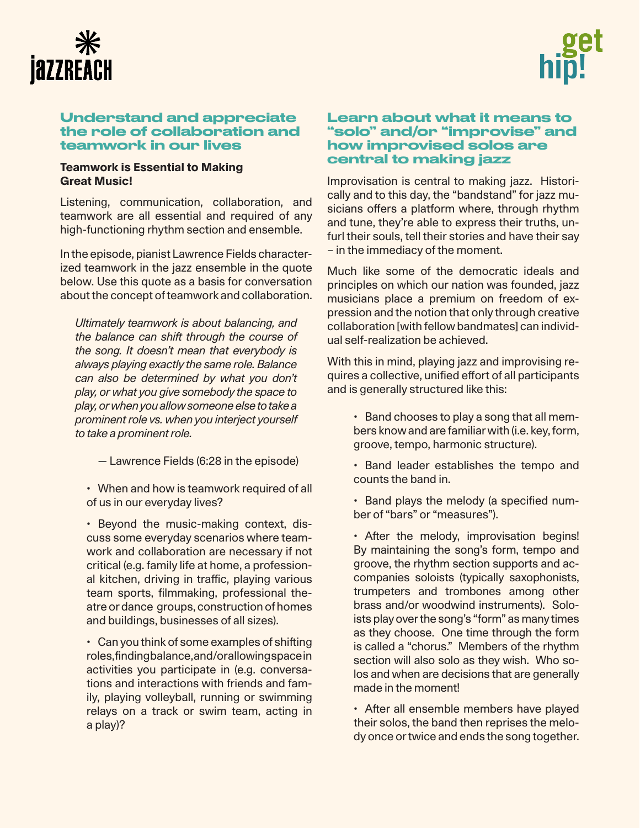



## Understand and appreciate the role of collaboration and teamwork in our lives

## **Teamwork is Essential to Making Great Music!**

Listening, communication, collaboration, and teamwork are all essential and required of any high-functioning rhythm section and ensemble.

In the episode, pianist Lawrence Fields characterized teamwork in the jazz ensemble in the quote below. Use this quote as a basis for conversation about the concept of teamwork and collaboration.

*Ultimately teamwork is about balancing, and the balance can shift through the course of the song. It doesn't mean that everybody is always playing exactly the same role. Balance can also be determined by what you don't play, or what you give somebody the space to play, or when you allow someone else to take a prominent role vs. when you interject yourself to take a prominent role.* 

— Lawrence Fields (6:28 in the episode)

• When and how is teamwork required of all of us in our everyday lives?

• Beyond the music-making context, discuss some everyday scenarios where teamwork and collaboration are necessary if not critical (e.g. family life at home, a professional kitchen, driving in traffic, playing various team sports, filmmaking, professional theatre or dance groups, construction of homes and buildings, businesses of all sizes).

• Can you think of some examples of shifting roles, finding balance, and/or allowing space in activities you participate in (e.g. conversations and interactions with friends and family, playing volleyball, running or swimming relays on a track or swim team, acting in a play)?

# Learn about what it means to "solo" and/or "improvise" and how improvised solos are central to making jazz

Improvisation is central to making jazz. Historically and to this day, the "bandstand" for jazz musicians offers a platform where, through rhythm and tune, they're able to express their truths, unfurl their souls, tell their stories and have their say – in the immediacy of the moment.

Much like some of the democratic ideals and principles on which our nation was founded, jazz musicians place a premium on freedom of expression and the notion that only through creative collaboration [with fellow bandmates] can individual self-realization be achieved.

With this in mind, playing jazz and improvising requires a collective, unified effort of all participants and is generally structured like this:

• Band chooses to play a song that all members know and are familiar with (i.e. key, form, groove, tempo, harmonic structure).

• Band leader establishes the tempo and counts the band in.

• Band plays the melody (a specified number of "bars" or "measures").

• After the melody, improvisation begins! By maintaining the song's form, tempo and groove, the rhythm section supports and accompanies soloists (typically saxophonists, trumpeters and trombones among other brass and/or woodwind instruments). Soloists play over the song's "form" as many times as they choose. One time through the form is called a "chorus." Members of the rhythm section will also solo as they wish. Who solos and when are decisions that are generally made in the moment!

• After all ensemble members have played their solos, the band then reprises the melody once or twice and ends the song together.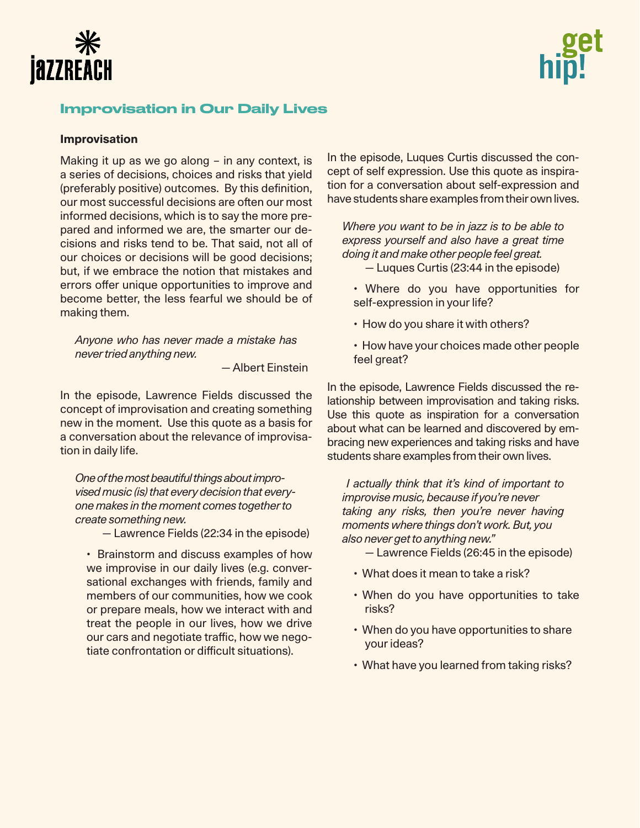



# Improvisation in Our Daily Lives

#### **Improvisation**

Making it up as we go along – in any context, is a series of decisions, choices and risks that yield (preferably positive) outcomes. By this definition, our most successful decisions are often our most informed decisions, which is to say the more prepared and informed we are, the smarter our decisions and risks tend to be. That said, not all of our choices or decisions will be good decisions; but, if we embrace the notion that mistakes and errors offer unique opportunities to improve and become better, the less fearful we should be of making them.

*Anyone who has never made a mistake has never tried anything new.*

— Albert Einstein

In the episode, Lawrence Fields discussed the concept of improvisation and creating something new in the moment. Use this quote as a basis for a conversation about the relevance of improvisation in daily life.

*One of the most beautiful things about improvised music (is) that every decision that everyone makes in the moment comes together to create something new.* 

— Lawrence Fields (22:34 in the episode)

• Brainstorm and discuss examples of how we improvise in our daily lives (e.g. conversational exchanges with friends, family and members of our communities, how we cook or prepare meals, how we interact with and treat the people in our lives, how we drive our cars and negotiate traffic, how we negotiate confrontation or difficult situations).

In the episode, Luques Curtis discussed the concept of self expression. Use this quote as inspiration for a conversation about self-expression and have students share examples from their own lives.

*Where you want to be in jazz is to be able to express yourself and also have a great time doing it and make other people feel great.*  — Luques Curtis (23:44 in the episode)

- Where do you have opportunities for self-expression in your life?
- How do you share it with others?
- How have your choices made other people feel great?

In the episode, Lawrence Fields discussed the relationship between improvisation and taking risks. Use this quote as inspiration for a conversation about what can be learned and discovered by embracing new experiences and taking risks and have students share examples from their own lives.

 *I actually think that it's kind of important to improvise music, because if you're never taking any risks, then you're never having moments where things don't work. But, you also never get to anything new."* 

- Lawrence Fields (26:45 in the episode)
- What does it mean to take a risk?
- When do you have opportunities to take risks?
- When do you have opportunities to share your ideas?
- What have you learned from taking risks?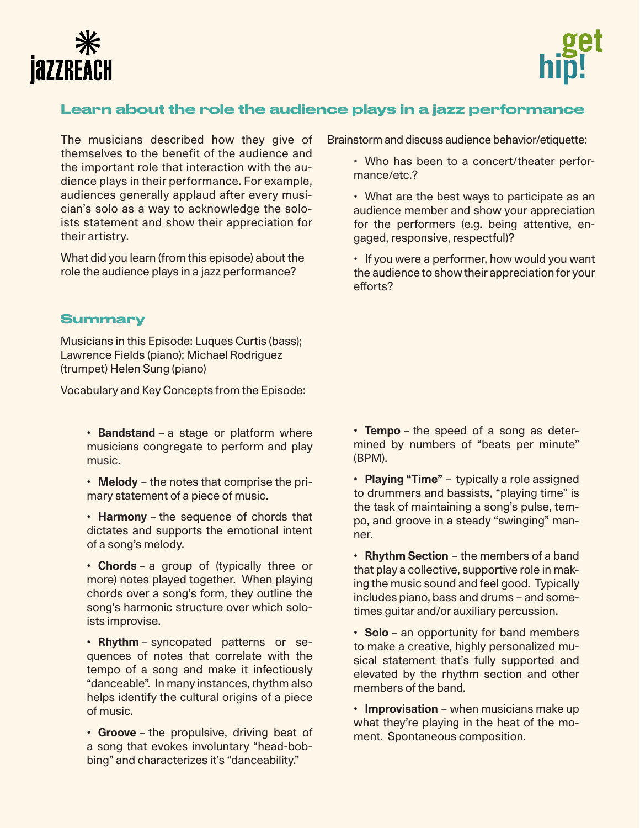



# Learn about the role the audience plays in a jazz performance

The musicians described how they give of themselves to the benefit of the audience and the important role that interaction with the audience plays in their performance. For example, audiences generally applaud after every musician's solo as a way to acknowledge the soloists statement and show their appreciation for their artistry.

What did you learn (from this episode) about the role the audience plays in a jazz performance?

## **Summary**

Musicians in this Episode: Luques Curtis (bass); Lawrence Fields (piano); Michael Rodriguez (trumpet) Helen Sung (piano)

Vocabulary and Key Concepts from the Episode:

**• Bandstand** – a stage or platform where musicians congregate to perform and play music.

**• Melody** – the notes that comprise the primary statement of a piece of music.

**• Harmony** – the sequence of chords that dictates and supports the emotional intent of a song's melody.

**• Chords** – a group of (typically three or more) notes played together. When playing chords over a song's form, they outline the song's harmonic structure over which soloists improvise.

**• Rhythm** – syncopated patterns or sequences of notes that correlate with the tempo of a song and make it infectiously "danceable". In many instances, rhythm also helps identify the cultural origins of a piece of music.

**• Groove** – the propulsive, driving beat of a song that evokes involuntary "head-bobbing" and characterizes it's "danceability."

Brainstorm and discuss audience behavior/etiquette:

• Who has been to a concert/theater performance/etc.?

• What are the best ways to participate as an audience member and show your appreciation for the performers (e.g. being attentive, engaged, responsive, respectful)?

• If you were a performer, how would you want the audience to show their appreciation for your efforts?

**• Tempo** – the speed of a song as determined by numbers of "beats per minute" (BPM).

**• Playing "Time"** – typically a role assigned to drummers and bassists, "playing time" is the task of maintaining a song's pulse, tempo, and groove in a steady "swinging" manner.

**• Rhythm Section** – the members of a band that play a collective, supportive role in making the music sound and feel good. Typically includes piano, bass and drums – and sometimes guitar and/or auxiliary percussion.

**• Solo** – an opportunity for band members to make a creative, highly personalized musical statement that's fully supported and elevated by the rhythm section and other members of the band.

**• Improvisation** – when musicians make up what they're playing in the heat of the moment. Spontaneous composition.